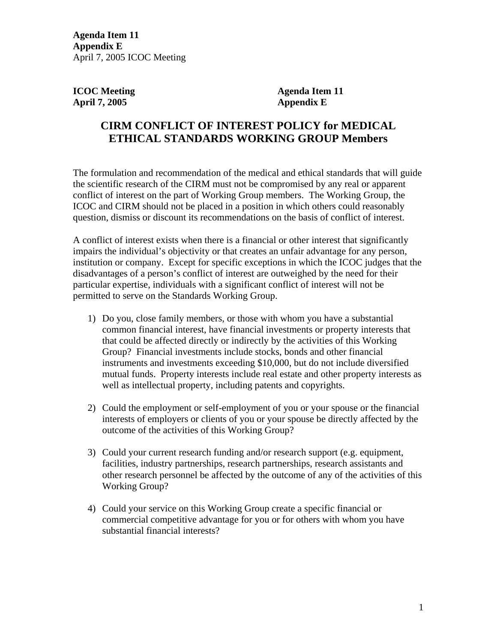**Agenda Item 11 Appendix E**  April 7, 2005 ICOC Meeting

**April 7, 2005 Appendix E** 

**ICOC Meeting Agenda Item 11** 

## **CIRM CONFLICT OF INTEREST POLICY for MEDICAL ETHICAL STANDARDS WORKING GROUP Members**

The formulation and recommendation of the medical and ethical standards that will guide the scientific research of the CIRM must not be compromised by any real or apparent conflict of interest on the part of Working Group members. The Working Group, the ICOC and CIRM should not be placed in a position in which others could reasonably question, dismiss or discount its recommendations on the basis of conflict of interest.

A conflict of interest exists when there is a financial or other interest that significantly impairs the individual's objectivity or that creates an unfair advantage for any person, institution or company. Except for specific exceptions in which the ICOC judges that the disadvantages of a person's conflict of interest are outweighed by the need for their particular expertise, individuals with a significant conflict of interest will not be permitted to serve on the Standards Working Group.

- 1) Do you, close family members, or those with whom you have a substantial common financial interest, have financial investments or property interests that that could be affected directly or indirectly by the activities of this Working Group? Financial investments include stocks, bonds and other financial instruments and investments exceeding \$10,000, but do not include diversified mutual funds. Property interests include real estate and other property interests as well as intellectual property, including patents and copyrights.
- 2) Could the employment or self-employment of you or your spouse or the financial interests of employers or clients of you or your spouse be directly affected by the outcome of the activities of this Working Group?
- 3) Could your current research funding and/or research support (e.g. equipment, facilities, industry partnerships, research partnerships, research assistants and other research personnel be affected by the outcome of any of the activities of this Working Group?
- 4) Could your service on this Working Group create a specific financial or commercial competitive advantage for you or for others with whom you have substantial financial interests?